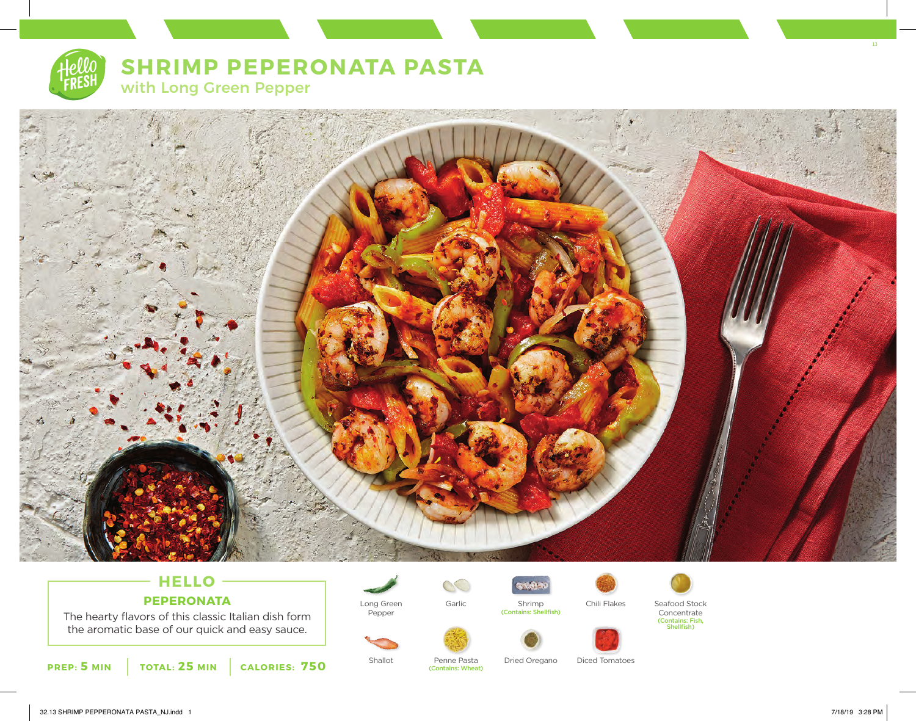

# **SHRIMP PEPERONATA PASTA**

with Long Green Pepper



# **HELLO PEPERONATA**

The hearty flavors of this classic Italian dish form the aromatic base of our quick and easy sauce.



Long Green Pepper



(Contains: Wheat)

(Contains: Shellfish)

**STORY** 



Shallot Penne Pasta Dried Oregano Diced Tomatoes



13